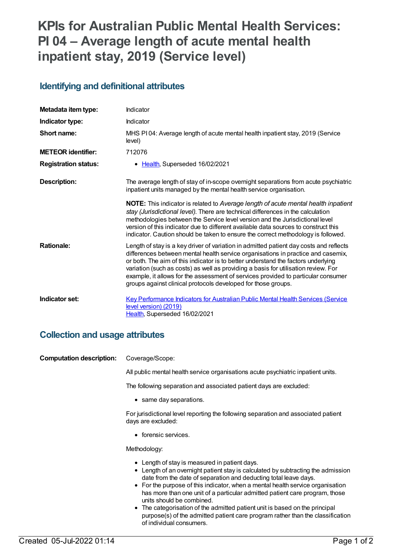# **KPIs for Australian Public Mental Health Services: PI 04 – Average length of acute mental health inpatient stay, 2019 (Service level)**

#### **Identifying and definitional attributes**

| Metadata item type:         | Indicator                                                                                                                                                                                                                                                                                                                                                                                                                                                                                                   |
|-----------------------------|-------------------------------------------------------------------------------------------------------------------------------------------------------------------------------------------------------------------------------------------------------------------------------------------------------------------------------------------------------------------------------------------------------------------------------------------------------------------------------------------------------------|
| Indicator type:             | Indicator                                                                                                                                                                                                                                                                                                                                                                                                                                                                                                   |
| Short name:                 | MHS PI04: Average length of acute mental health inpatient stay, 2019 (Service<br>level)                                                                                                                                                                                                                                                                                                                                                                                                                     |
| <b>METEOR identifier:</b>   | 712076                                                                                                                                                                                                                                                                                                                                                                                                                                                                                                      |
| <b>Registration status:</b> | • Health, Superseded 16/02/2021                                                                                                                                                                                                                                                                                                                                                                                                                                                                             |
| <b>Description:</b>         | The average length of stay of in-scope overnight separations from acute psychiatric<br>inpatient units managed by the mental health service organisation.                                                                                                                                                                                                                                                                                                                                                   |
|                             | <b>NOTE:</b> This indicator is related to Average length of acute mental health inpatient<br>stay (Jurisdictional level). There are technical differences in the calculation<br>methodologies between the Service level version and the Jurisdictional level<br>version of this indicator due to different available data sources to construct this<br>indicator. Caution should be taken to ensure the correct methodology is followed.                                                                    |
| <b>Rationale:</b>           | Length of stay is a key driver of variation in admitted patient day costs and reflects<br>differences between mental health service organisations in practice and casemix,<br>or both. The aim of this indicator is to better understand the factors underlying<br>variation (such as costs) as well as providing a basis for utilisation review. For<br>example, it allows for the assessment of services provided to particular consumer<br>groups against clinical protocols developed for those groups. |
| Indicator set:              | Key Performance Indicators for Australian Public Mental Health Services (Service<br>level version) (2019)<br>Health, Superseded 16/02/2021                                                                                                                                                                                                                                                                                                                                                                  |

### **Collection and usage attributes**

| <b>Computation description:</b> | Coverage/Scope:                                                                                                                                                                                                                                                                                                                                                                                                                                                                                                                                                                                  |
|---------------------------------|--------------------------------------------------------------------------------------------------------------------------------------------------------------------------------------------------------------------------------------------------------------------------------------------------------------------------------------------------------------------------------------------------------------------------------------------------------------------------------------------------------------------------------------------------------------------------------------------------|
|                                 | All public mental health service organisations acute psychiatric inpatient units.                                                                                                                                                                                                                                                                                                                                                                                                                                                                                                                |
|                                 | The following separation and associated patient days are excluded:                                                                                                                                                                                                                                                                                                                                                                                                                                                                                                                               |
|                                 | • same day separations.                                                                                                                                                                                                                                                                                                                                                                                                                                                                                                                                                                          |
|                                 | For jurisdictional level reporting the following separation and associated patient<br>days are excluded:                                                                                                                                                                                                                                                                                                                                                                                                                                                                                         |
|                                 | • forensic services.                                                                                                                                                                                                                                                                                                                                                                                                                                                                                                                                                                             |
|                                 | Methodology:                                                                                                                                                                                                                                                                                                                                                                                                                                                                                                                                                                                     |
|                                 | • Length of stay is measured in patient days.<br>• Length of an overnight patient stay is calculated by subtracting the admission<br>date from the date of separation and deducting total leave days.<br>• For the purpose of this indicator, when a mental health service organisation<br>has more than one unit of a particular admitted patient care program, those<br>units should be combined.<br>• The categorisation of the admitted patient unit is based on the principal<br>purpose(s) of the admitted patient care program rather than the classification<br>of individual consumers. |